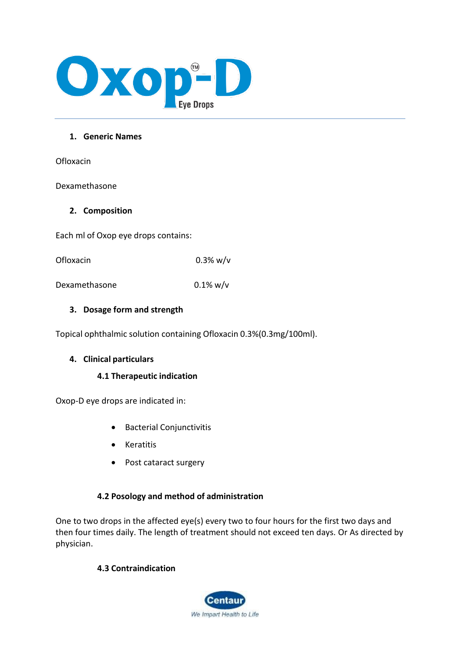

## **1. Generic Names**

**Ofloxacin** 

Dexamethasone

## **2. Composition**

Each ml of Oxop eye drops contains:

Ofloxacin 0.3% w/v

Dexamethasone 0.1% w/v

## **3. Dosage form and strength**

Topical ophthalmic solution containing Ofloxacin 0.3%(0.3mg/100ml).

# **4. Clinical particulars**

## **4.1 Therapeutic indication**

Oxop-D eye drops are indicated in:

- Bacterial Conjunctivitis
- Keratitis
- Post cataract surgery

# **4.2 Posology and method of administration**

One to two drops in the affected eye(s) every two to four hours for the first two days and then four times daily. The length of treatment should not exceed ten days. Or As directed by physician.

# **4.3 Contraindication**

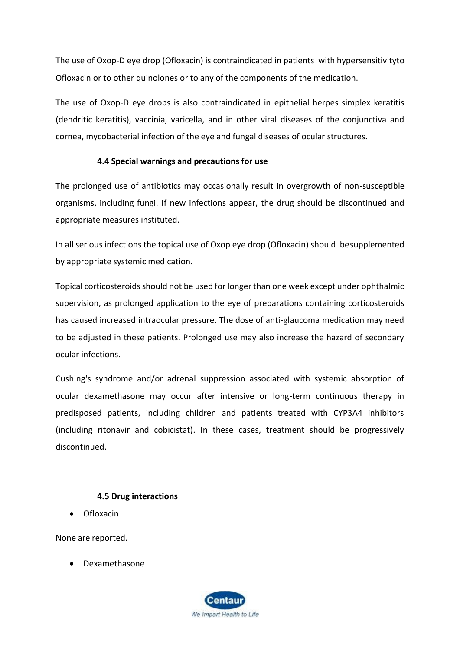The use of Oxop-D eye drop (Ofloxacin) is contraindicated in patients with hypersensitivityto Ofloxacin or to other quinolones or to any of the components of the medication.

The use of Oxop-D eye drops is also contraindicated in epithelial herpes simplex keratitis (dendritic keratitis), vaccinia, varicella, and in other viral diseases of the conjunctiva and cornea, mycobacterial infection of the eye and fungal diseases of ocular structures.

# **4.4 Special warnings and precautions for use**

The prolonged use of antibiotics may occasionally result in overgrowth of non-susceptible organisms, including fungi. If new infections appear, the drug should be discontinued and appropriate measures instituted.

In all serious infections the topical use of Oxop eye drop (Ofloxacin) should be supplemented by appropriate systemic medication.

Topical corticosteroids should not be used for longer than one week except under ophthalmic supervision, as prolonged application to the eye of preparations containing corticosteroids has caused increased intraocular pressure. The dose of anti-glaucoma medication may need to be adjusted in these patients. Prolonged use may also increase the hazard of secondary ocular infections.

Cushing's syndrome and/or adrenal suppression associated with systemic absorption of ocular dexamethasone may occur after intensive or long-term continuous therapy in predisposed patients, including children and patients treated with CYP3A4 inhibitors (including ritonavir and cobicistat). In these cases, treatment should be progressively discontinued.

## **4.5 Drug interactions**

• Ofloxacin

None are reported.

• Dexamethasone

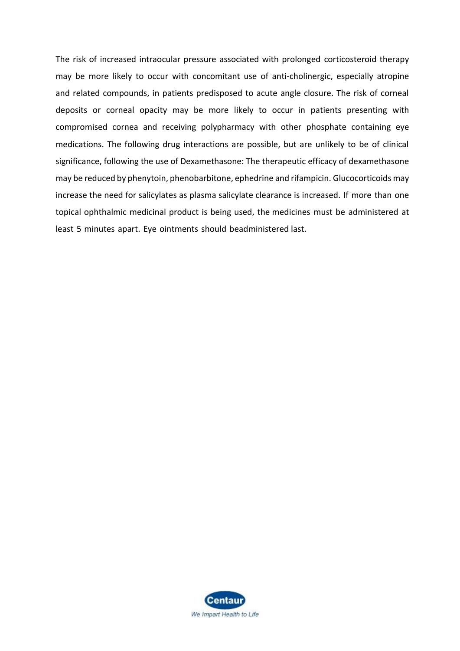The risk of increased intraocular pressure associated with prolonged corticosteroid therapy may be more likely to occur with concomitant use of anti-cholinergic, especially atropine and related compounds, in patients predisposed to acute angle closure. The risk of corneal deposits or corneal opacity may be more likely to occur in patients presenting with compromised cornea and receiving polypharmacy with other phosphate containing eye medications. The following drug interactions are possible, but are unlikely to be of clinical significance, following the use of Dexamethasone: The therapeutic efficacy of dexamethasone may be reduced by phenytoin, phenobarbitone, ephedrine and rifampicin. Glucocorticoids may increase the need for salicylates as plasma salicylate clearance is increased. If more than one topical ophthalmic medicinal product is being used, the medicines must be administered at least 5 minutes apart. Eye ointments should beadministered last.

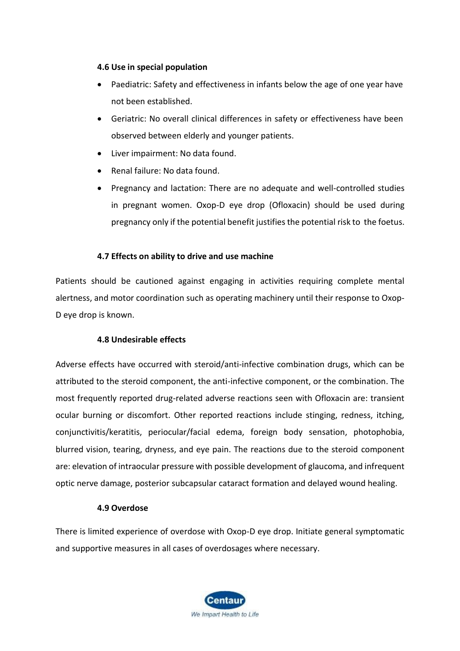## **4.6 Use in special population**

- Paediatric: Safety and effectiveness in infants below the age of one year have not been established.
- Geriatric: No overall clinical differences in safety or effectiveness have been observed between elderly and younger patients.
- Liver impairment: No data found.
- Renal failure: No data found.
- Pregnancy and lactation: There are no adequate and well-controlled studies in pregnant women. Oxop-D eye drop (Ofloxacin) should be used during pregnancy only if the potential benefit justifiesthe potential risk to the foetus.

# **4.7 Effects on ability to drive and use machine**

Patients should be cautioned against engaging in activities requiring complete mental alertness, and motor coordination such as operating machinery until their response to Oxop-D eye drop is known.

# **4.8 Undesirable effects**

Adverse effects have occurred with steroid/anti-infective combination drugs, which can be attributed to the steroid component, the anti-infective component, or the combination. The most frequently reported drug-related adverse reactions seen with Ofloxacin are: transient ocular burning or discomfort. Other reported reactions include stinging, redness, itching, conjunctivitis/keratitis, periocular/facial edema, foreign body sensation, photophobia, blurred vision, tearing, dryness, and eye pain. The reactions due to the steroid component are: elevation of intraocular pressure with possible development of glaucoma, and infrequent optic nerve damage, posterior subcapsular cataract formation and delayed wound healing.

## **4.9 Overdose**

There is limited experience of overdose with Oxop-D eye drop. Initiate general symptomatic and supportive measures in all cases of overdosages where necessary.

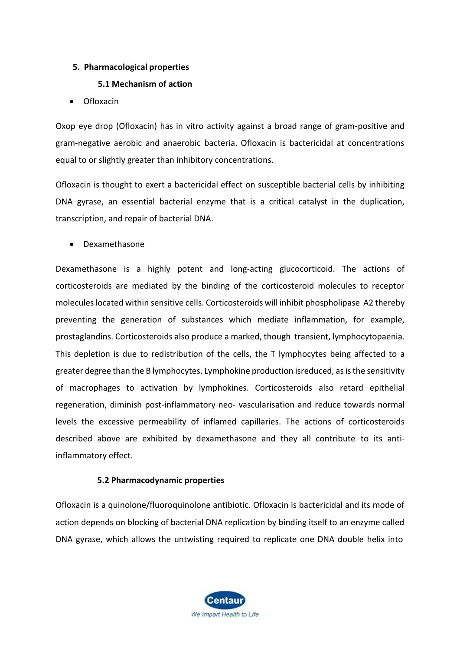# **5. Pharmacological properties**

## **5.1 Mechanism of action**

• Ofloxacin

Oxop eye drop (Ofloxacin) has in vitro activity against a broad range of gram-positive and gram-negative aerobic and anaerobic bacteria. Ofloxacin is bactericidal at concentrations equal to or slightly greater than inhibitory concentrations.

Ofloxacin is thought to exert a bactericidal effect on susceptible bacterial cells by inhibiting DNA gyrase, an essential bacterial enzyme that is a critical catalyst in the duplication, transcription, and repair of bacterial DNA.

• Dexamethasone

Dexamethasone is a highly potent and long-acting glucocorticoid. The actions of corticosteroids are mediated by the binding of the corticosteroid molecules to receptor molecules located within sensitive cells. Corticosteroids will inhibit phospholipase A2 thereby preventing the generation of substances which mediate inflammation, for example, prostaglandins. Corticosteroids also produce a marked, though transient, lymphocytopaenia. This depletion is due to redistribution of the cells, the T lymphocytes being affected to a greater degree than the B lymphocytes. Lymphokine production isreduced, as is the sensitivity of macrophages to activation by lymphokines. Corticosteroids also retard epithelial regeneration, diminish post-inflammatory neo- vascularisation and reduce towards normal levels the excessive permeability of inflamed capillaries. The actions of corticosteroids described above are exhibited by dexamethasone and they all contribute to its antiinflammatory effect.

## **5.2 Pharmacodynamic properties**

Ofloxacin is a quinolone/fluoroquinolone antibiotic. Ofloxacin is bactericidal and its mode of action depends on blocking of bacterial DNA replication by binding itself to an enzyme called DNA gyrase, which allows the untwisting required to replicate one DNA double helix into

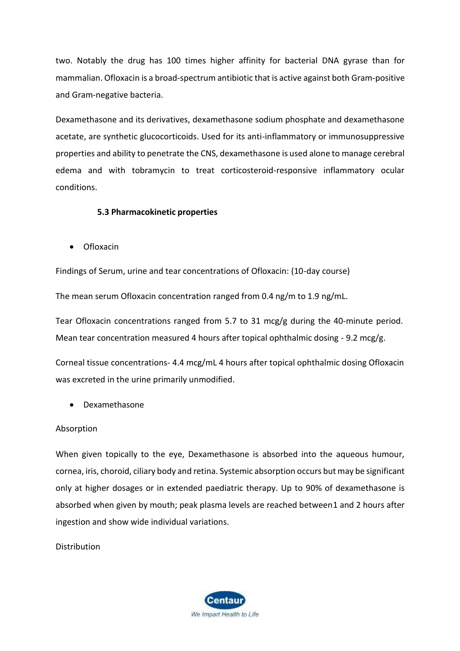two. Notably the drug has 100 times higher affinity for bacterial DNA gyrase than for mammalian. Ofloxacin is a broad-spectrum antibiotic that is active against both Gram-positive and Gram-negative bacteria.

Dexamethasone and its derivatives, dexamethasone sodium phosphate and dexamethasone acetate, are synthetic glucocorticoids. Used for its anti-inflammatory or immunosuppressive properties and ability to penetrate the CNS, dexamethasone is used alone to manage cerebral edema and with tobramycin to treat corticosteroid-responsive inflammatory ocular conditions.

## **5.3 Pharmacokinetic properties**

• Ofloxacin

Findings of Serum, urine and tear concentrations of Ofloxacin: (10-day course)

The mean serum Ofloxacin concentration ranged from 0.4 ng/m to 1.9 ng/mL.

Tear Ofloxacin concentrations ranged from 5.7 to 31 mcg/g during the 40-minute period. Mean tear concentration measured 4 hours after topical ophthalmic dosing - 9.2 mcg/g.

Corneal tissue concentrations- 4.4 mcg/mL 4 hours after topical ophthalmic dosing Ofloxacin was excreted in the urine primarily unmodified.

• Dexamethasone

## Absorption

When given topically to the eye, Dexamethasone is absorbed into the aqueous humour, cornea, iris, choroid, ciliary body and retina. Systemic absorption occurs but may be significant only at higher dosages or in extended paediatric therapy. Up to 90% of dexamethasone is absorbed when given by mouth; peak plasma levels are reached between1 and 2 hours after ingestion and show wide individual variations.

Distribution

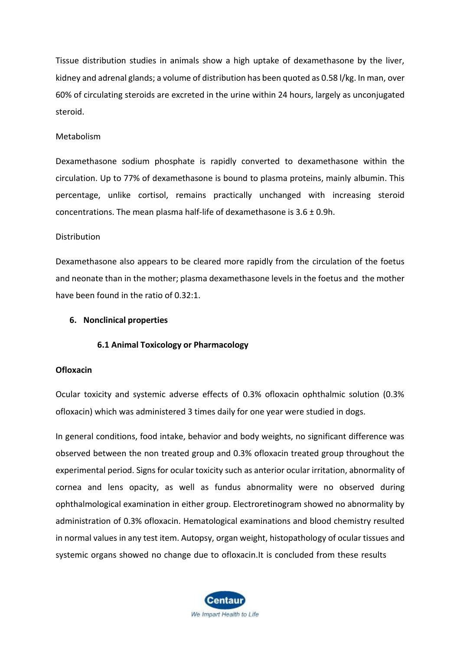Tissue distribution studies in animals show a high uptake of dexamethasone by the liver, kidney and adrenal glands; a volume of distribution has been quoted as 0.58 l/kg. In man, over 60% of circulating steroids are excreted in the urine within 24 hours, largely as unconjugated steroid.

#### Metabolism

Dexamethasone sodium phosphate is rapidly converted to dexamethasone within the circulation. Up to 77% of dexamethasone is bound to plasma proteins, mainly albumin. This percentage, unlike cortisol, remains practically unchanged with increasing steroid concentrations. The mean plasma half-life of dexamethasone is 3.6 ± 0.9h.

#### **Distribution**

Dexamethasone also appears to be cleared more rapidly from the circulation of the foetus and neonate than in the mother; plasma dexamethasone levels in the foetus and the mother have been found in the ratio of 0.32:1.

#### **6. Nonclinical properties**

## **6.1 Animal Toxicology or Pharmacology**

#### **Ofloxacin**

Ocular toxicity and systemic adverse effects of 0.3% ofloxacin ophthalmic solution (0.3% ofloxacin) which was administered 3 times daily for one year were studied in dogs.

In general conditions, food intake, behavior and body weights, no significant difference was observed between the non treated group and 0.3% ofloxacin treated group throughout the experimental period. Signs for ocular toxicity such as anterior ocular irritation, abnormality of cornea and lens opacity, as well as fundus abnormality were no observed during ophthalmological examination in either group. Electroretinogram showed no abnormality by administration of 0.3% ofloxacin. Hematological examinations and blood chemistry resulted in normal values in any test item. Autopsy, organ weight, histopathology of ocular tissues and systemic organs showed no change due to ofloxacin.It is concluded from these results

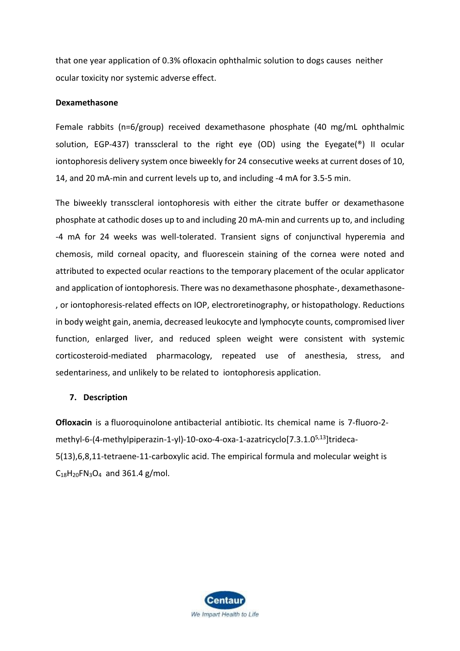that one year application of 0.3% ofloxacin ophthalmic solution to dogs causes neither ocular toxicity nor systemic adverse effect.

#### **Dexamethasone**

Female rabbits (n=6/group) received dexamethasone phosphate (40 mg/mL ophthalmic solution, EGP-437) transscleral to the right eye (OD) using the Eyegate(®) II ocular iontophoresis delivery system once biweekly for 24 consecutive weeks at current doses of 10, 14, and 20 mA-min and current levels up to, and including -4 mA for 3.5-5 min.

The biweekly transscleral iontophoresis with either the citrate buffer or dexamethasone phosphate at cathodic doses up to and including 20 mA-min and currents up to, and including -4 mA for 24 weeks was well-tolerated. Transient signs of conjunctival hyperemia and chemosis, mild corneal opacity, and fluorescein staining of the cornea were noted and attributed to expected ocular reactions to the temporary placement of the ocular applicator and application of iontophoresis. There was no dexamethasone phosphate-, dexamethasone- , or iontophoresis-related effects on IOP, electroretinography, or histopathology. Reductions in body weight gain, anemia, decreased leukocyte and lymphocyte counts, compromised liver function, enlarged liver, and reduced spleen weight were consistent with systemic corticosteroid-mediated pharmacology, repeated use of anesthesia, stress, and sedentariness, and unlikely to be related to iontophoresis application.

#### **7. Description**

**Ofloxacin** is a [fluoroquinolone](https://pubchem.ncbi.nlm.nih.gov/compound/fluoroquinolone) antibacterial antibiotic. Its chemical name is 7-fluoro-2 methyl-6-(4-methylpiperazin-1-yl)-10-oxo-4-oxa-1-azatricyclo[7.3.1.0<sup>5,13</sup>]trideca-5(13),6,8,11-tetraene-11-carboxylic acid. The empirical formula and molecular weight is  $C_{18}H_{20}FN_{3}O_{4}$  $C_{18}H_{20}FN_{3}O_{4}$  $C_{18}H_{20}FN_{3}O_{4}$  and 361.4 g/mol.

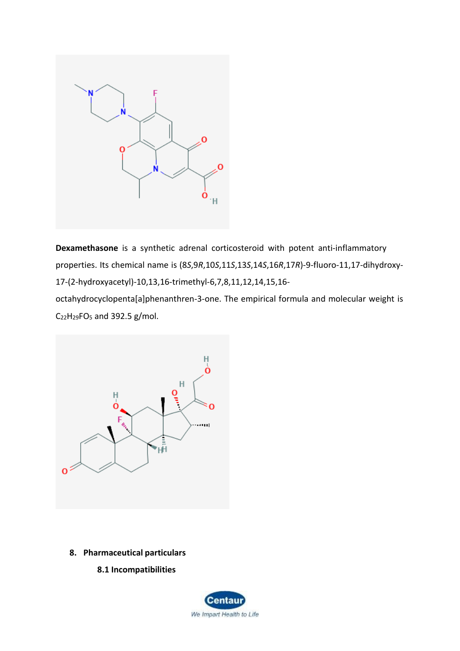

**Dexamethasone** is a synthetic adrenal corticosteroid with potent anti-inflammatory properties. Its chemical name is (8*S*,9*R*,10*S*,11*S*,13*S*,14*S*,16*R*,17*R*)-9-fluoro-11,17-dihydroxy-17-(2-hydroxyacetyl)-10,13,16-trimethyl-6,7,8,11,12,14,15,16 octahydrocyclopenta[a]phenanthren-3-one. The empirical formula and molecular weight is C22H29[FO](https://pubchem.ncbi.nlm.nih.gov/#query%3DC22H29FO5)<sup>5</sup> and 392.5 g/mol.



- **8. Pharmaceutical particulars**
	- **8.1 Incompatibilities**

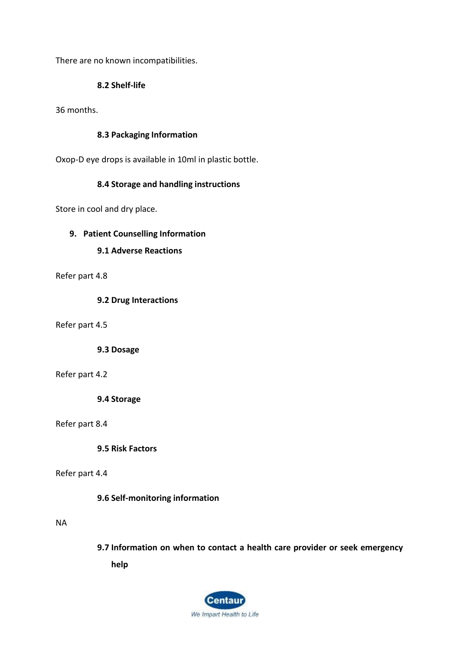There are no known incompatibilities.

## **8.2 Shelf-life**

36 months.

## **8.3 Packaging Information**

Oxop-D eye drops is available in 10ml in plastic bottle.

## **8.4 Storage and handling instructions**

Store in cool and dry place.

## **9. Patient Counselling Information**

# **9.1 Adverse Reactions**

## Refer part 4.8

## **9.2 Drug Interactions**

Refer part 4.5

## **9.3 Dosage**

## Refer part 4.2

**9.4 Storage**

## Refer part 8.4

**9.5 Risk Factors**

# Refer part 4.4

## **9.6 Self-monitoring information**

## NA

**9.7 Information on when to contact a health care provider or seek emergency help**